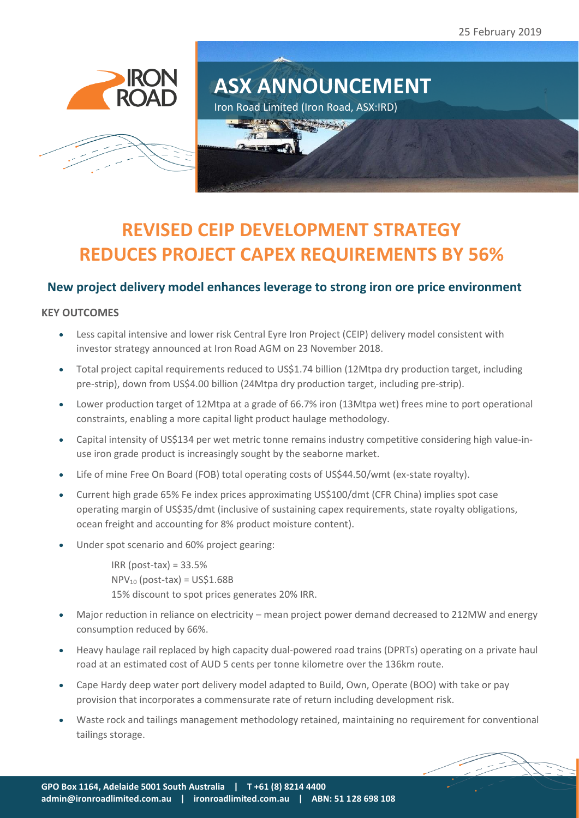25 February 2019







# **REVISED CEIP DEVELOPMENT STRATEGY REDUCES PROJECT CAPEX REQUIREMENTS BY 56%**

# **New project delivery model enhances leverage to strong iron ore price environment**

## **KEY OUTCOMES**

- Less capital intensive and lower risk Central Eyre Iron Project (CEIP) delivery model consistent with investor strategy announced at Iron Road AGM on 23 November 2018.
- Total project capital requirements reduced to US\$1.74 billion (12Mtpa dry production target, including pre-strip), down from US\$4.00 billion (24Mtpa dry production target, including pre-strip).
- Lower production target of 12Mtpa at a grade of 66.7% iron (13Mtpa wet) frees mine to port operational constraints, enabling a more capital light product haulage methodology.
- Capital intensity of US\$134 per wet metric tonne remains industry competitive considering high value-inuse iron grade product is increasingly sought by the seaborne market.
- Life of mine Free On Board (FOB) total operating costs of US\$44.50/wmt (ex-state royalty).
- Current high grade 65% Fe index prices approximating US\$100/dmt (CFR China) implies spot case operating margin of US\$35/dmt (inclusive of sustaining capex requirements, state royalty obligations, ocean freight and accounting for 8% product moisture content).
- Under spot scenario and 60% project gearing:

 $IRR (post-tax) = 33.5%$  $NPV_{10}$  (post-tax) = US\$1.68B 15% discount to spot prices generates 20% IRR.

- Major reduction in reliance on electricity mean project power demand decreased to 212MW and energy consumption reduced by 66%.
- Heavy haulage rail replaced by high capacity dual-powered road trains (DPRTs) operating on a private haul road at an estimated cost of AUD 5 cents per tonne kilometre over the 136km route.
- Cape Hardy deep water port delivery model adapted to Build, Own, Operate (BOO) with take or pay provision that incorporates a commensurate rate of return including development risk.
- Waste rock and tailings management methodology retained, maintaining no requirement for conventional tailings storage.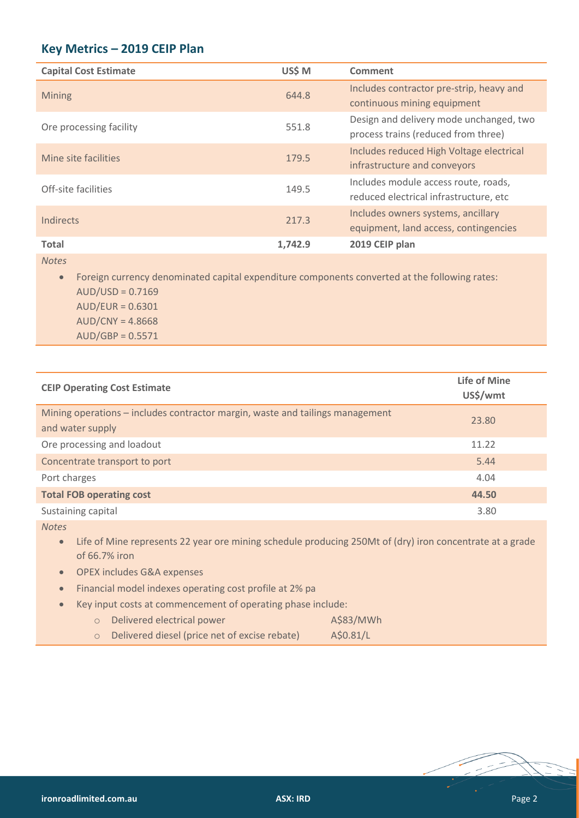# **Key Metrics – 2019 CEIP Plan**

| <b>Capital Cost Estimate</b> | US\$ M  | Comment                                                                        |
|------------------------------|---------|--------------------------------------------------------------------------------|
| Mining                       | 644.8   | Includes contractor pre-strip, heavy and<br>continuous mining equipment        |
| Ore processing facility      | 551.8   | Design and delivery mode unchanged, two<br>process trains (reduced from three) |
| Mine site facilities         | 179.5   | Includes reduced High Voltage electrical<br>infrastructure and conveyors       |
| Off-site facilities          | 149.5   | Includes module access route, roads,<br>reduced electrical infrastructure, etc |
| Indirects                    | 217.3   | Includes owners systems, ancillary<br>equipment, land access, contingencies    |
| <b>Total</b>                 | 1,742.9 | 2019 CEIP plan                                                                 |

*Notes*

• Foreign currency denominated capital expenditure components converted at the following rates: AUD/USD = 0.7169 AUD/EUR = 0.6301 AUD/CNY = 4.8668 AUD/GBP = 0.5571

| <b>CEIP Operating Cost Estimate</b>                                                               | <b>Life of Mine</b><br>US\$/wmt |
|---------------------------------------------------------------------------------------------------|---------------------------------|
| Mining operations – includes contractor margin, waste and tailings management<br>and water supply | 23.80                           |
| Ore processing and loadout                                                                        | 11.22                           |
| Concentrate transport to port                                                                     | 5.44                            |
| Port charges                                                                                      | 4.04                            |
| <b>Total FOB operating cost</b>                                                                   | 44.50                           |
| Sustaining capital                                                                                | 3.80                            |

*Notes*

• Life of Mine represents 22 year ore mining schedule producing 250Mt of (dry) iron concentrate at a grade of 66.7% iron

• OPEX includes G&A expenses

- Financial model indexes operating cost profile at 2% pa
- Key input costs at commencement of operating phase include:

| Delivered electrical power                    | A\$83/MWh |
|-----------------------------------------------|-----------|
| Delivered diesel (price net of excise rebate) | A\$0.81/L |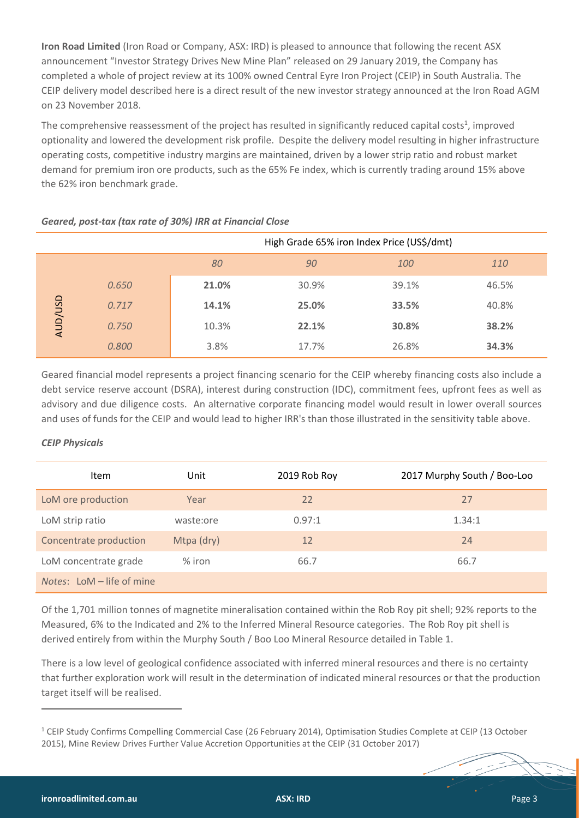**Iron Road Limited** (Iron Road or Company, ASX: IRD) is pleased to announce that following the recent ASX announcement "Investor Strategy Drives New Mine Plan" released on 29 January 2019, the Company has completed a whole of project review at its 100% owned Central Eyre Iron Project (CEIP) in South Australia. The CEIP delivery model described here is a direct result of the new investor strategy announced at the Iron Road AGM on 23 November 2018.

The comprehensive reassessment of the project has resulted in significantly reduced capital costs<sup>1</sup>, improved optionality and lowered the development risk profile. Despite the delivery model resulting in higher infrastructure operating costs, competitive industry margins are maintained, driven by a lower strip ratio and robust market demand for premium iron ore products, such as the 65% Fe index, which is currently trading around 15% above the 62% iron benchmark grade.

|                |       | High Grade 65% iron Index Price (US\$/dmt) |       |       |       |
|----------------|-------|--------------------------------------------|-------|-------|-------|
|                |       | 80                                         | 90    | 100   | 110   |
|                | 0.650 | 21.0%                                      | 30.9% | 39.1% | 46.5% |
|                | 0.717 | 14.1%                                      | 25.0% | 33.5% | 40.8% |
| <b>AUD/USD</b> | 0.750 | 10.3%                                      | 22.1% | 30.8% | 38.2% |
|                | 0.800 | 3.8%                                       | 17.7% | 26.8% | 34.3% |

# *Geared, post-tax (tax rate of 30%) IRR at Financial Close*

Geared financial model represents a project financing scenario for the CEIP whereby financing costs also include a debt service reserve account (DSRA), interest during construction (IDC), commitment fees, upfront fees as well as advisory and due diligence costs. An alternative corporate financing model would result in lower overall sources and uses of funds for the CEIP and would lead to higher IRR's than those illustrated in the sensitivity table above.

# *CEIP Physicals*

| Item                               | Unit       | 2019 Rob Roy | 2017 Murphy South / Boo-Loo |
|------------------------------------|------------|--------------|-----------------------------|
| LoM ore production                 | Year       | 22           | 27                          |
| LoM strip ratio                    | waste:ore  | 0.97:1       | 1.34:1                      |
| Concentrate production             | Mtpa (dry) | 12           | 24                          |
| LoM concentrate grade              | $%$ iron   | 66.7         | 66.7                        |
| <i>Notes:</i> LoM $-$ life of mine |            |              |                             |

Of the 1,701 million tonnes of magnetite mineralisation contained within the Rob Roy pit shell; 92% reports to the Measured, 6% to the Indicated and 2% to the Inferred Mineral Resource categories. The Rob Roy pit shell is derived entirely from within the Murphy South / Boo Loo Mineral Resource detailed in Table 1.

There is a low level of geological confidence associated with inferred mineral resources and there is no certainty that further exploration work will result in the determination of indicated mineral resources or that the production target itself will be realised.

 $\overline{a}$ 

<sup>&</sup>lt;sup>1</sup> [CEIP Study Confirms Compelling Commercial Case](http://clients2.weblink.com.au/clients/ironroad/article.asp?asx=IRD&view=6668845) (26 February 2014), Optimisation Studies Complete at CEIP (13 October 2015), Mine Review Drives Further Value Accretion Opportunities at the CEIP (31 October 2017)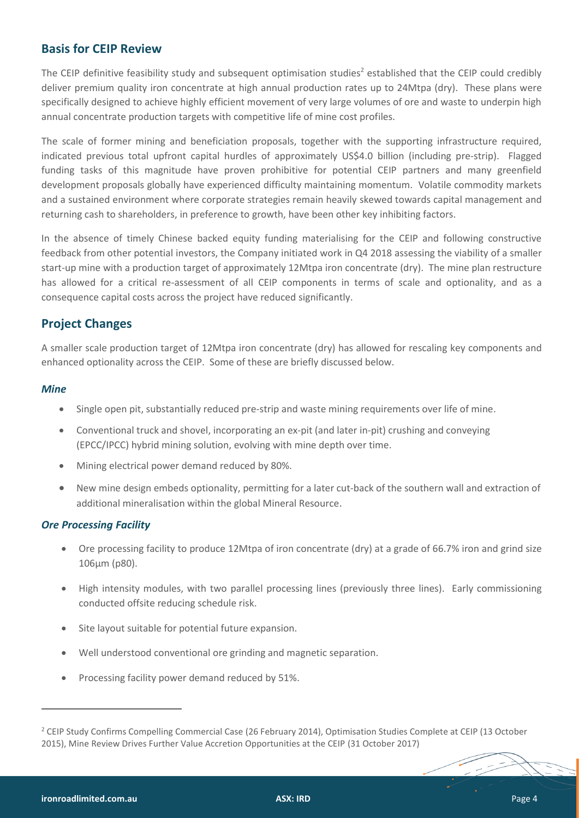# **Basis for CEIP Review**

The CEIP definitive feasibility study and subsequent optimisation studies<sup>2</sup> established that the CEIP could credibly deliver premium quality iron concentrate at high annual production rates up to 24Mtpa (dry). These plans were specifically designed to achieve highly efficient movement of very large volumes of ore and waste to underpin high annual concentrate production targets with competitive life of mine cost profiles.

The scale of former mining and beneficiation proposals, together with the supporting infrastructure required, indicated previous total upfront capital hurdles of approximately US\$4.0 billion (including pre-strip). Flagged funding tasks of this magnitude have proven prohibitive for potential CEIP partners and many greenfield development proposals globally have experienced difficulty maintaining momentum. Volatile commodity markets and a sustained environment where corporate strategies remain heavily skewed towards capital management and returning cash to shareholders, in preference to growth, have been other key inhibiting factors.

In the absence of timely Chinese backed equity funding materialising for the CEIP and following constructive feedback from other potential investors, the Company initiated work in Q4 2018 assessing the viability of a smaller start-up mine with a production target of approximately 12Mtpa iron concentrate (dry). The mine plan restructure has allowed for a critical re-assessment of all CEIP components in terms of scale and optionality, and as a consequence capital costs across the project have reduced significantly.

# **Project Changes**

A smaller scale production target of 12Mtpa iron concentrate (dry) has allowed for rescaling key components and enhanced optionality across the CEIP. Some of these are briefly discussed below.

# *Mine*

- Single open pit, substantially reduced pre-strip and waste mining requirements over life of mine.
- Conventional truck and shovel, incorporating an ex-pit (and later in-pit) crushing and conveying (EPCC/IPCC) hybrid mining solution, evolving with mine depth over time.
- Mining electrical power demand reduced by 80%.
- New mine design embeds optionality, permitting for a later cut-back of the southern wall and extraction of additional mineralisation within the global Mineral Resource.

# *Ore Processing Facility*

- Ore processing facility to produce 12Mtpa of iron concentrate (dry) at a grade of 66.7% iron and grind size 106μm (p80).
- High intensity modules, with two parallel processing lines (previously three lines). Early commissioning conducted offsite reducing schedule risk.
- Site layout suitable for potential future expansion.
- Well understood conventional ore grinding and magnetic separation.
- Processing facility power demand reduced by 51%.

 $\overline{a}$ 

<sup>&</sup>lt;sup>2</sup> [CEIP Study Confirms Compelling Commercial Case](http://clients2.weblink.com.au/clients/ironroad/article.asp?asx=IRD&view=6668845) (26 February 2014), Optimisation Studies Complete at CEIP (13 October 2015), Mine Review Drives Further Value Accretion Opportunities at the CEIP (31 October 2017)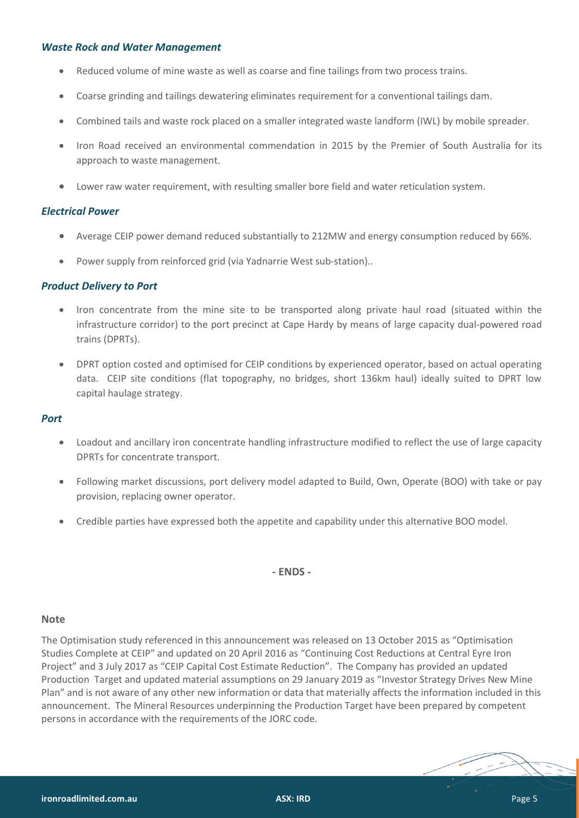#### *Waste Rock and Water Management*

- Reduced volume of mine waste as well as coarse and fine tailings from two process trains.
- Coarse grinding and tailings dewatering eliminates requirement for a conventional tailings dam.
- Combined tails and waste rock placed on a smaller integrated waste landform (IWL) by mobile spreader.
- Iron Road received an environmental commendation in 2015 by the Premier of South Australia for its approach to waste management.
- Lower raw water requirement, with resulting smaller bore field and water reticulation system.

#### *Electrical Power*

- Average CEIP power demand reduced substantially to 212MW and energy consumption reduced by 66%.
- Power supply from reinforced grid (via Yadnarrie West sub-station)..

#### *Product Delivery to Port*

- Iron concentrate from the mine site to be transported along private haul road (situated within the infrastructure corridor) to the port precinct at Cape Hardy by means of large capacity dual-powered road trains (DPRTs).
- DPRT option costed and optimised for CEIP conditions by experienced operator, based on actual operating data. CEIP site conditions (flat topography, no bridges, short 136km haul) ideally suited to DPRT low capital haulage strategy.

#### *Port*

- Loadout and ancillary iron concentrate handling infrastructure modified to reflect the use of large capacity DPRTs for concentrate transport.
- Following market discussions, port delivery model adapted to Build, Own, Operate (BOO) with take or pay provision, replacing owner operator.
- Credible parties have expressed both the appetite and capability under this alternative BOO model.

**- ENDS -**

#### **Note**

The Optimisation study referenced in this announcement was released on 13 October 2015 as "Optimisation Studies Complete at CEIP" and updated on 20 April 2016 as "Continuing Cost Reductions at Central Eyre Iron Project" and 3 July 2017 as "CEIP Capital Cost Estimate Reduction". The Company has provided an updated Production Target and updated material assumptions on 29 January 2019 as "[Investor Strategy Drives New Mine](https://www.asx.com.au/asx/statistics/displayAnnouncement.do?display=pdf&idsId=02069393)  [Plan](https://www.asx.com.au/asx/statistics/displayAnnouncement.do?display=pdf&idsId=02069393)" and is not aware of any other new information or data that materially affects the information included in this announcement. The Mineral Resources underpinning the Production Target have been prepared by competent persons in accordance with the requirements of the JORC code.